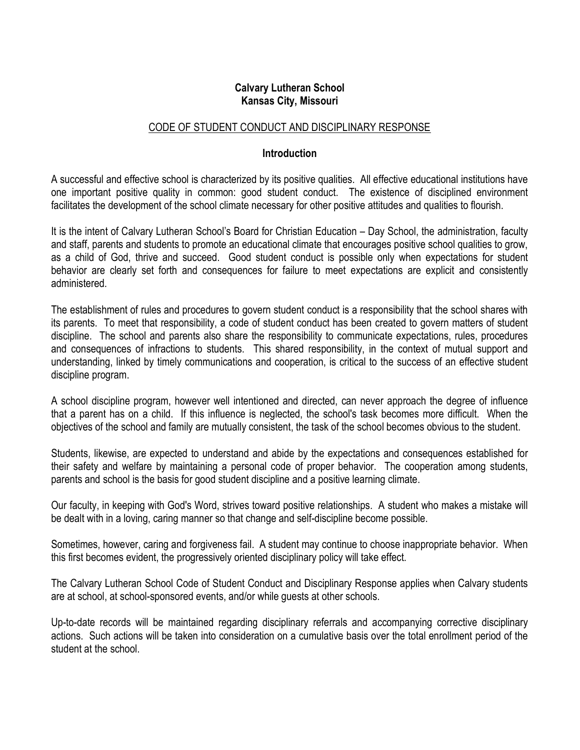## Calvary Lutheran School Kansas City, Missouri

# CODE OF STUDENT CONDUCT AND DISCIPLINARY RESPONSE

### Introduction

A successful and effective school is characterized by its positive qualities. All effective educational institutions have one important positive quality in common: good student conduct. The existence of disciplined environment facilitates the development of the school climate necessary for other positive attitudes and qualities to flourish.

It is the intent of Calvary Lutheran School's Board for Christian Education – Day School, the administration, faculty and staff, parents and students to promote an educational climate that encourages positive school qualities to grow, as a child of God, thrive and succeed. Good student conduct is possible only when expectations for student behavior are clearly set forth and consequences for failure to meet expectations are explicit and consistently administered.

The establishment of rules and procedures to govern student conduct is a responsibility that the school shares with its parents. To meet that responsibility, a code of student conduct has been created to govern matters of student discipline. The school and parents also share the responsibility to communicate expectations, rules, procedures and consequences of infractions to students. This shared responsibility, in the context of mutual support and understanding, linked by timely communications and cooperation, is critical to the success of an effective student discipline program.

A school discipline program, however well intentioned and directed, can never approach the degree of influence that a parent has on a child. If this influence is neglected, the school's task becomes more difficult. When the objectives of the school and family are mutually consistent, the task of the school becomes obvious to the student.

Students, likewise, are expected to understand and abide by the expectations and consequences established for their safety and welfare by maintaining a personal code of proper behavior. The cooperation among students, parents and school is the basis for good student discipline and a positive learning climate.

Our faculty, in keeping with God's Word, strives toward positive relationships. A student who makes a mistake will be dealt with in a loving, caring manner so that change and self-discipline become possible.

Sometimes, however, caring and forgiveness fail. A student may continue to choose inappropriate behavior. When this first becomes evident, the progressively oriented disciplinary policy will take effect.

The Calvary Lutheran School Code of Student Conduct and Disciplinary Response applies when Calvary students are at school, at school-sponsored events, and/or while guests at other schools.

Up-to-date records will be maintained regarding disciplinary referrals and accompanying corrective disciplinary actions. Such actions will be taken into consideration on a cumulative basis over the total enrollment period of the student at the school.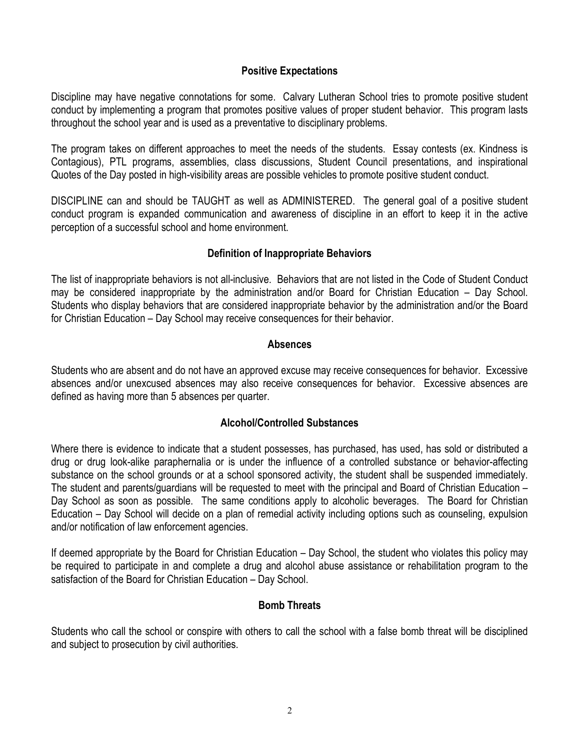## Positive Expectations

Discipline may have negative connotations for some. Calvary Lutheran School tries to promote positive student conduct by implementing a program that promotes positive values of proper student behavior. This program lasts throughout the school year and is used as a preventative to disciplinary problems.

The program takes on different approaches to meet the needs of the students. Essay contests (ex. Kindness is Contagious), PTL programs, assemblies, class discussions, Student Council presentations, and inspirational Quotes of the Day posted in high-visibility areas are possible vehicles to promote positive student conduct.

DISCIPLINE can and should be TAUGHT as well as ADMINISTERED. The general goal of a positive student conduct program is expanded communication and awareness of discipline in an effort to keep it in the active perception of a successful school and home environment.

## Definition of Inappropriate Behaviors

The list of inappropriate behaviors is not all-inclusive. Behaviors that are not listed in the Code of Student Conduct may be considered inappropriate by the administration and/or Board for Christian Education – Day School. Students who display behaviors that are considered inappropriate behavior by the administration and/or the Board for Christian Education – Day School may receive consequences for their behavior.

### **Absences**

Students who are absent and do not have an approved excuse may receive consequences for behavior. Excessive absences and/or unexcused absences may also receive consequences for behavior. Excessive absences are defined as having more than 5 absences per quarter.

### Alcohol/Controlled Substances

Where there is evidence to indicate that a student possesses, has purchased, has used, has sold or distributed a drug or drug look-alike paraphernalia or is under the influence of a controlled substance or behavior-affecting substance on the school grounds or at a school sponsored activity, the student shall be suspended immediately. The student and parents/guardians will be requested to meet with the principal and Board of Christian Education – Day School as soon as possible. The same conditions apply to alcoholic beverages. The Board for Christian Education – Day School will decide on a plan of remedial activity including options such as counseling, expulsion and/or notification of law enforcement agencies.

If deemed appropriate by the Board for Christian Education – Day School, the student who violates this policy may be required to participate in and complete a drug and alcohol abuse assistance or rehabilitation program to the satisfaction of the Board for Christian Education – Day School.

### Bomb Threats

Students who call the school or conspire with others to call the school with a false bomb threat will be disciplined and subject to prosecution by civil authorities.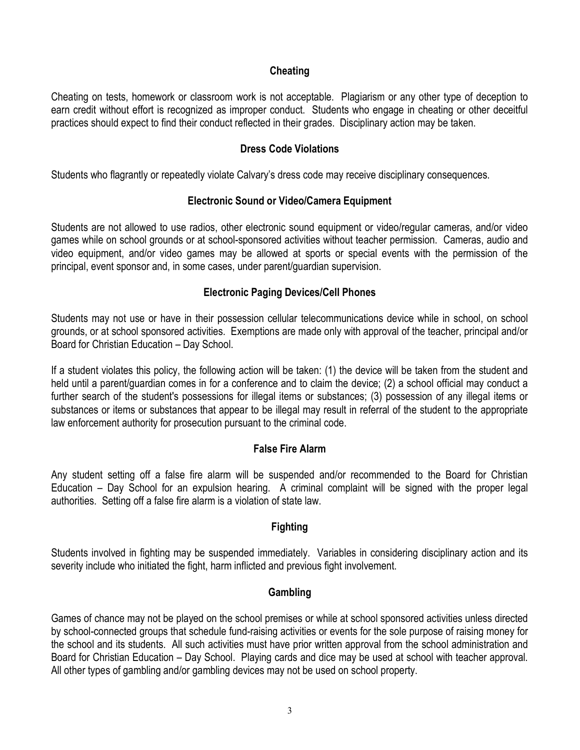## **Cheating**

Cheating on tests, homework or classroom work is not acceptable. Plagiarism or any other type of deception to earn credit without effort is recognized as improper conduct. Students who engage in cheating or other deceitful practices should expect to find their conduct reflected in their grades. Disciplinary action may be taken.

### Dress Code Violations

Students who flagrantly or repeatedly violate Calvary's dress code may receive disciplinary consequences.

### Electronic Sound or Video/Camera Equipment

Students are not allowed to use radios, other electronic sound equipment or video/regular cameras, and/or video games while on school grounds or at school-sponsored activities without teacher permission. Cameras, audio and video equipment, and/or video games may be allowed at sports or special events with the permission of the principal, event sponsor and, in some cases, under parent/guardian supervision.

## Electronic Paging Devices/Cell Phones

Students may not use or have in their possession cellular telecommunications device while in school, on school grounds, or at school sponsored activities. Exemptions are made only with approval of the teacher, principal and/or Board for Christian Education – Day School.

If a student violates this policy, the following action will be taken: (1) the device will be taken from the student and held until a parent/guardian comes in for a conference and to claim the device; (2) a school official may conduct a further search of the student's possessions for illegal items or substances; (3) possession of any illegal items or substances or items or substances that appear to be illegal may result in referral of the student to the appropriate law enforcement authority for prosecution pursuant to the criminal code.

### False Fire Alarm

Any student setting off a false fire alarm will be suspended and/or recommended to the Board for Christian Education – Day School for an expulsion hearing. A criminal complaint will be signed with the proper legal authorities. Setting off a false fire alarm is a violation of state law.

# Fighting

Students involved in fighting may be suspended immediately. Variables in considering disciplinary action and its severity include who initiated the fight, harm inflicted and previous fight involvement.

### **Gambling**

Games of chance may not be played on the school premises or while at school sponsored activities unless directed by school-connected groups that schedule fund-raising activities or events for the sole purpose of raising money for the school and its students. All such activities must have prior written approval from the school administration and Board for Christian Education – Day School. Playing cards and dice may be used at school with teacher approval. All other types of gambling and/or gambling devices may not be used on school property.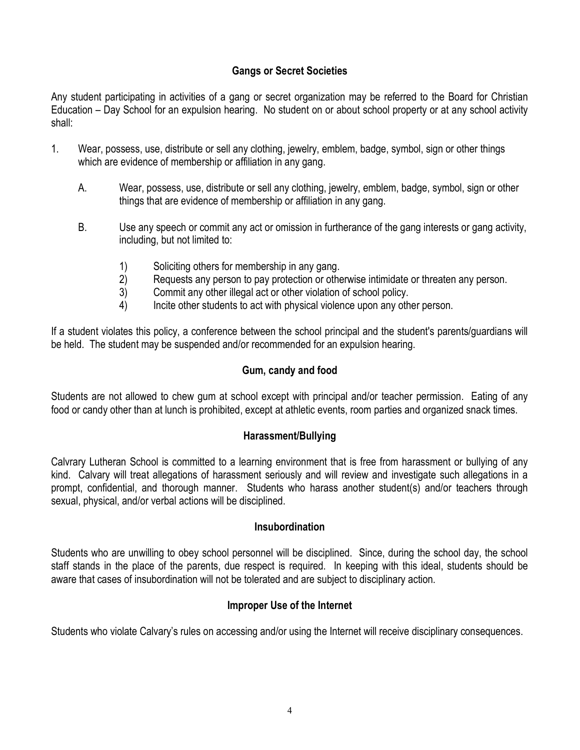# Gangs or Secret Societies

Any student participating in activities of a gang or secret organization may be referred to the Board for Christian Education – Day School for an expulsion hearing. No student on or about school property or at any school activity shall:

- 1. Wear, possess, use, distribute or sell any clothing, jewelry, emblem, badge, symbol, sign or other things which are evidence of membership or affiliation in any gang.
	- A. Wear, possess, use, distribute or sell any clothing, jewelry, emblem, badge, symbol, sign or other things that are evidence of membership or affiliation in any gang.
	- B. Use any speech or commit any act or omission in furtherance of the gang interests or gang activity, including, but not limited to:
		- 1) Soliciting others for membership in any gang.
		- 2) Requests any person to pay protection or otherwise intimidate or threaten any person.
		- 3) Commit any other illegal act or other violation of school policy.
		- 4) Incite other students to act with physical violence upon any other person.

If a student violates this policy, a conference between the school principal and the student's parents/guardians will be held. The student may be suspended and/or recommended for an expulsion hearing.

# Gum, candy and food

Students are not allowed to chew gum at school except with principal and/or teacher permission. Eating of any food or candy other than at lunch is prohibited, except at athletic events, room parties and organized snack times.

# Harassment/Bullying

Calvrary Lutheran School is committed to a learning environment that is free from harassment or bullying of any kind. Calvary will treat allegations of harassment seriously and will review and investigate such allegations in a prompt, confidential, and thorough manner. Students who harass another student(s) and/or teachers through sexual, physical, and/or verbal actions will be disciplined.

# Insubordination

Students who are unwilling to obey school personnel will be disciplined. Since, during the school day, the school staff stands in the place of the parents, due respect is required. In keeping with this ideal, students should be aware that cases of insubordination will not be tolerated and are subject to disciplinary action.

# Improper Use of the Internet

Students who violate Calvary's rules on accessing and/or using the Internet will receive disciplinary consequences.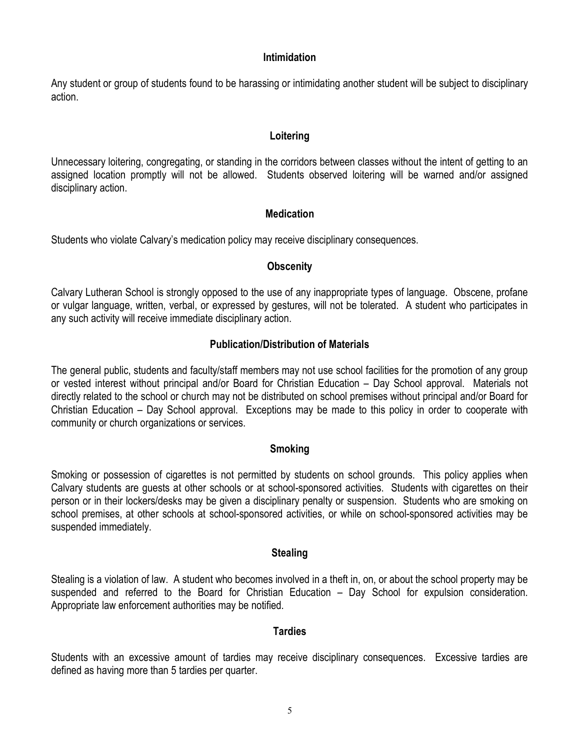### Intimidation

Any student or group of students found to be harassing or intimidating another student will be subject to disciplinary action.

## Loitering

Unnecessary loitering, congregating, or standing in the corridors between classes without the intent of getting to an assigned location promptly will not be allowed. Students observed loitering will be warned and/or assigned disciplinary action.

# **Medication**

Students who violate Calvary's medication policy may receive disciplinary consequences.

## **Obscenity**

Calvary Lutheran School is strongly opposed to the use of any inappropriate types of language. Obscene, profane or vulgar language, written, verbal, or expressed by gestures, will not be tolerated. A student who participates in any such activity will receive immediate disciplinary action.

## Publication/Distribution of Materials

The general public, students and faculty/staff members may not use school facilities for the promotion of any group or vested interest without principal and/or Board for Christian Education – Day School approval. Materials not directly related to the school or church may not be distributed on school premises without principal and/or Board for Christian Education – Day School approval. Exceptions may be made to this policy in order to cooperate with community or church organizations or services.

### Smoking

Smoking or possession of cigarettes is not permitted by students on school grounds. This policy applies when Calvary students are guests at other schools or at school-sponsored activities. Students with cigarettes on their person or in their lockers/desks may be given a disciplinary penalty or suspension. Students who are smoking on school premises, at other schools at school-sponsored activities, or while on school-sponsored activities may be suspended immediately.

### **Stealing**

Stealing is a violation of law. A student who becomes involved in a theft in, on, or about the school property may be suspended and referred to the Board for Christian Education – Day School for expulsion consideration. Appropriate law enforcement authorities may be notified.

### Tardies

Students with an excessive amount of tardies may receive disciplinary consequences. Excessive tardies are defined as having more than 5 tardies per quarter.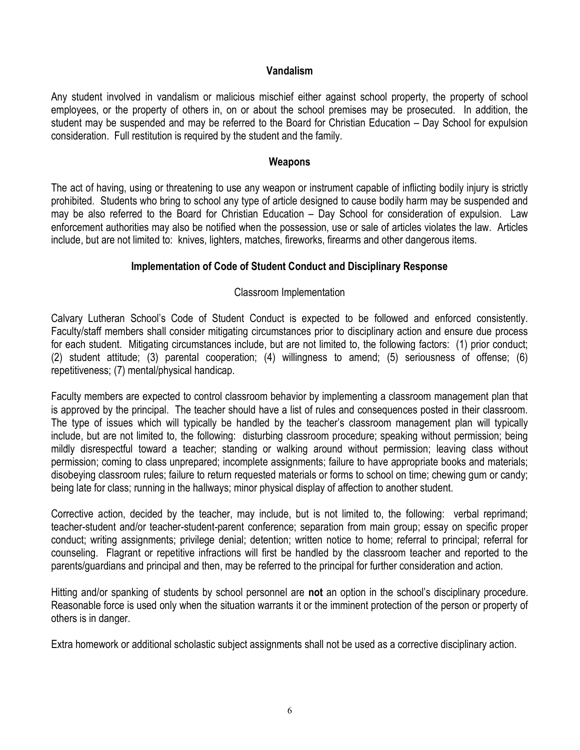### Vandalism

Any student involved in vandalism or malicious mischief either against school property, the property of school employees, or the property of others in, on or about the school premises may be prosecuted. In addition, the student may be suspended and may be referred to the Board for Christian Education – Day School for expulsion consideration. Full restitution is required by the student and the family.

#### **Weapons**

The act of having, using or threatening to use any weapon or instrument capable of inflicting bodily injury is strictly prohibited. Students who bring to school any type of article designed to cause bodily harm may be suspended and may be also referred to the Board for Christian Education – Day School for consideration of expulsion. Law enforcement authorities may also be notified when the possession, use or sale of articles violates the law. Articles include, but are not limited to: knives, lighters, matches, fireworks, firearms and other dangerous items.

### Implementation of Code of Student Conduct and Disciplinary Response

## Classroom Implementation

Calvary Lutheran School's Code of Student Conduct is expected to be followed and enforced consistently. Faculty/staff members shall consider mitigating circumstances prior to disciplinary action and ensure due process for each student. Mitigating circumstances include, but are not limited to, the following factors: (1) prior conduct; (2) student attitude; (3) parental cooperation; (4) willingness to amend; (5) seriousness of offense; (6) repetitiveness; (7) mental/physical handicap.

Faculty members are expected to control classroom behavior by implementing a classroom management plan that is approved by the principal. The teacher should have a list of rules and consequences posted in their classroom. The type of issues which will typically be handled by the teacher's classroom management plan will typically include, but are not limited to, the following: disturbing classroom procedure; speaking without permission; being mildly disrespectful toward a teacher; standing or walking around without permission; leaving class without permission; coming to class unprepared; incomplete assignments; failure to have appropriate books and materials; disobeying classroom rules; failure to return requested materials or forms to school on time; chewing gum or candy; being late for class; running in the hallways; minor physical display of affection to another student.

Corrective action, decided by the teacher, may include, but is not limited to, the following: verbal reprimand; teacher-student and/or teacher-student-parent conference; separation from main group; essay on specific proper conduct; writing assignments; privilege denial; detention; written notice to home; referral to principal; referral for counseling. Flagrant or repetitive infractions will first be handled by the classroom teacher and reported to the parents/guardians and principal and then, may be referred to the principal for further consideration and action.

Hitting and/or spanking of students by school personnel are **not** an option in the school's disciplinary procedure. Reasonable force is used only when the situation warrants it or the imminent protection of the person or property of others is in danger.

Extra homework or additional scholastic subject assignments shall not be used as a corrective disciplinary action.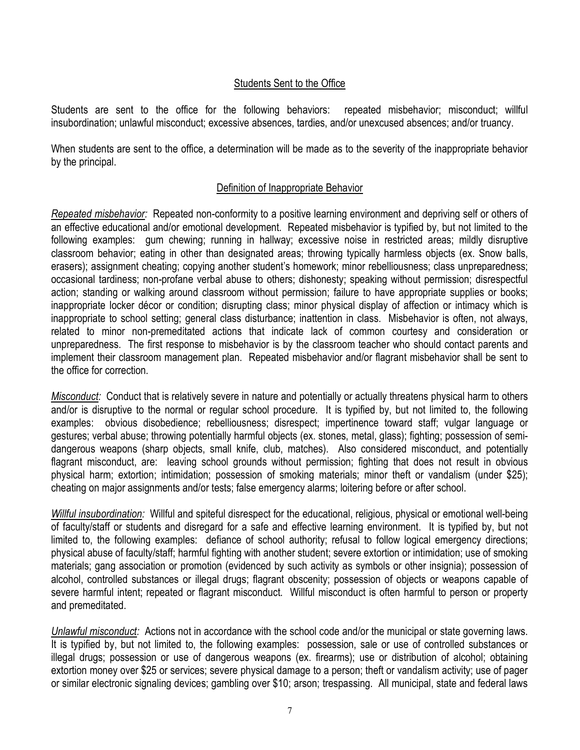## Students Sent to the Office

Students are sent to the office for the following behaviors: repeated misbehavior; misconduct; willful insubordination; unlawful misconduct; excessive absences, tardies, and/or unexcused absences; and/or truancy.

When students are sent to the office, a determination will be made as to the severity of the inappropriate behavior by the principal.

### Definition of Inappropriate Behavior

Repeated misbehavior: Repeated non-conformity to a positive learning environment and depriving self or others of an effective educational and/or emotional development. Repeated misbehavior is typified by, but not limited to the following examples: gum chewing; running in hallway; excessive noise in restricted areas; mildly disruptive classroom behavior; eating in other than designated areas; throwing typically harmless objects (ex. Snow balls, erasers); assignment cheating; copying another student's homework; minor rebelliousness; class unpreparedness; occasional tardiness; non-profane verbal abuse to others; dishonesty; speaking without permission; disrespectful action; standing or walking around classroom without permission; failure to have appropriate supplies or books; inappropriate locker décor or condition; disrupting class; minor physical display of affection or intimacy which is inappropriate to school setting; general class disturbance; inattention in class. Misbehavior is often, not always, related to minor non-premeditated actions that indicate lack of common courtesy and consideration or unpreparedness. The first response to misbehavior is by the classroom teacher who should contact parents and implement their classroom management plan. Repeated misbehavior and/or flagrant misbehavior shall be sent to the office for correction.

Misconduct: Conduct that is relatively severe in nature and potentially or actually threatens physical harm to others and/or is disruptive to the normal or regular school procedure. It is typified by, but not limited to, the following examples: obvious disobedience; rebelliousness; disrespect; impertinence toward staff; vulgar language or gestures; verbal abuse; throwing potentially harmful objects (ex. stones, metal, glass); fighting; possession of semidangerous weapons (sharp objects, small knife, club, matches). Also considered misconduct, and potentially flagrant misconduct, are: leaving school grounds without permission; fighting that does not result in obvious physical harm; extortion; intimidation; possession of smoking materials; minor theft or vandalism (under \$25); cheating on major assignments and/or tests; false emergency alarms; loitering before or after school.

Willful insubordination: Willful and spiteful disrespect for the educational, religious, physical or emotional well-being of faculty/staff or students and disregard for a safe and effective learning environment. It is typified by, but not limited to, the following examples: defiance of school authority; refusal to follow logical emergency directions; physical abuse of faculty/staff; harmful fighting with another student; severe extortion or intimidation; use of smoking materials; gang association or promotion (evidenced by such activity as symbols or other insignia); possession of alcohol, controlled substances or illegal drugs; flagrant obscenity; possession of objects or weapons capable of severe harmful intent; repeated or flagrant misconduct. Willful misconduct is often harmful to person or property and premeditated.

Unlawful misconduct: Actions not in accordance with the school code and/or the municipal or state governing laws. It is typified by, but not limited to, the following examples: possession, sale or use of controlled substances or illegal drugs; possession or use of dangerous weapons (ex. firearms); use or distribution of alcohol; obtaining extortion money over \$25 or services; severe physical damage to a person; theft or vandalism activity; use of pager or similar electronic signaling devices; gambling over \$10; arson; trespassing. All municipal, state and federal laws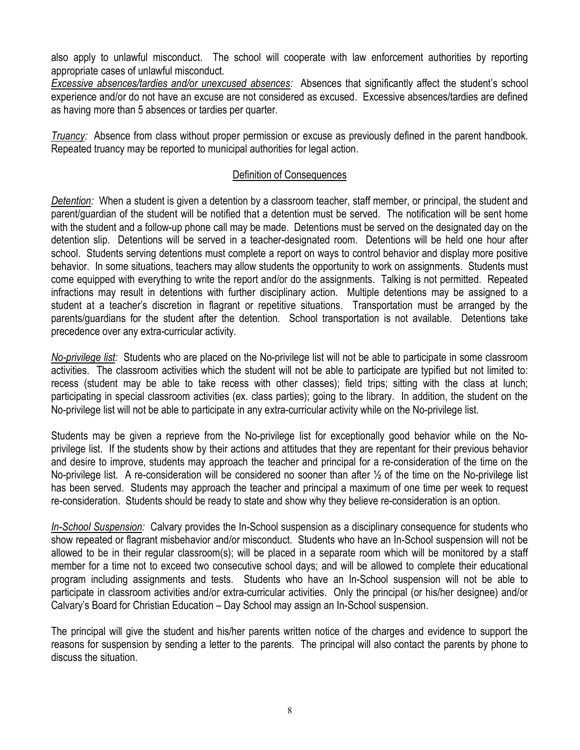also apply to unlawful misconduct. The school will cooperate with law enforcement authorities by reporting appropriate cases of unlawful misconduct.

Excessive absences/tardies and/or unexcused absences: Absences that significantly affect the student's school experience and/or do not have an excuse are not considered as excused. Excessive absences/tardies are defined as having more than 5 absences or tardies per quarter.

Truancy: Absence from class without proper permission or excuse as previously defined in the parent handbook. Repeated truancy may be reported to municipal authorities for legal action.

## Definition of Consequences

Detention: When a student is given a detention by a classroom teacher, staff member, or principal, the student and parent/guardian of the student will be notified that a detention must be served. The notification will be sent home with the student and a follow-up phone call may be made. Detentions must be served on the designated day on the detention slip. Detentions will be served in a teacher-designated room. Detentions will be held one hour after school. Students serving detentions must complete a report on ways to control behavior and display more positive behavior. In some situations, teachers may allow students the opportunity to work on assignments. Students must come equipped with everything to write the report and/or do the assignments. Talking is not permitted. Repeated infractions may result in detentions with further disciplinary action. Multiple detentions may be assigned to a student at a teacher's discretion in flagrant or repetitive situations. Transportation must be arranged by the parents/guardians for the student after the detention. School transportation is not available. Detentions take precedence over any extra-curricular activity.

No-privilege list: Students who are placed on the No-privilege list will not be able to participate in some classroom activities. The classroom activities which the student will not be able to participate are typified but not limited to: recess (student may be able to take recess with other classes); field trips; sitting with the class at lunch; participating in special classroom activities (ex. class parties); going to the library. In addition, the student on the No-privilege list will not be able to participate in any extra-curricular activity while on the No-privilege list.

Students may be given a reprieve from the No-privilege list for exceptionally good behavior while on the Noprivilege list. If the students show by their actions and attitudes that they are repentant for their previous behavior and desire to improve, students may approach the teacher and principal for a re-consideration of the time on the No-privilege list. A re-consideration will be considered no sooner than after ½ of the time on the No-privilege list has been served. Students may approach the teacher and principal a maximum of one time per week to request re-consideration. Students should be ready to state and show why they believe re-consideration is an option.

In-School Suspension: Calvary provides the In-School suspension as a disciplinary consequence for students who show repeated or flagrant misbehavior and/or misconduct. Students who have an In-School suspension will not be allowed to be in their regular classroom(s); will be placed in a separate room which will be monitored by a staff member for a time not to exceed two consecutive school days; and will be allowed to complete their educational program including assignments and tests. Students who have an In-School suspension will not be able to participate in classroom activities and/or extra-curricular activities. Only the principal (or his/her designee) and/or Calvary's Board for Christian Education – Day School may assign an In-School suspension.

The principal will give the student and his/her parents written notice of the charges and evidence to support the reasons for suspension by sending a letter to the parents. The principal will also contact the parents by phone to discuss the situation.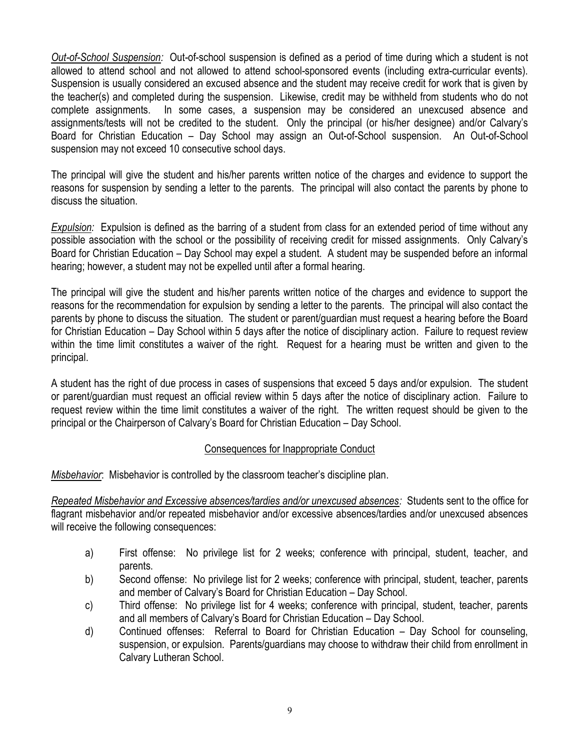Out-of-School Suspension: Out-of-school suspension is defined as a period of time during which a student is not allowed to attend school and not allowed to attend school-sponsored events (including extra-curricular events). Suspension is usually considered an excused absence and the student may receive credit for work that is given by the teacher(s) and completed during the suspension. Likewise, credit may be withheld from students who do not complete assignments. In some cases, a suspension may be considered an unexcused absence and assignments/tests will not be credited to the student. Only the principal (or his/her designee) and/or Calvary's Board for Christian Education – Day School may assign an Out-of-School suspension. An Out-of-School suspension may not exceed 10 consecutive school days.

The principal will give the student and his/her parents written notice of the charges and evidence to support the reasons for suspension by sending a letter to the parents. The principal will also contact the parents by phone to discuss the situation.

Expulsion: Expulsion is defined as the barring of a student from class for an extended period of time without any possible association with the school or the possibility of receiving credit for missed assignments. Only Calvary's Board for Christian Education – Day School may expel a student. A student may be suspended before an informal hearing; however, a student may not be expelled until after a formal hearing.

The principal will give the student and his/her parents written notice of the charges and evidence to support the reasons for the recommendation for expulsion by sending a letter to the parents. The principal will also contact the parents by phone to discuss the situation. The student or parent/guardian must request a hearing before the Board for Christian Education – Day School within 5 days after the notice of disciplinary action. Failure to request review within the time limit constitutes a waiver of the right. Request for a hearing must be written and given to the principal.

A student has the right of due process in cases of suspensions that exceed 5 days and/or expulsion. The student or parent/guardian must request an official review within 5 days after the notice of disciplinary action. Failure to request review within the time limit constitutes a waiver of the right. The written request should be given to the principal or the Chairperson of Calvary's Board for Christian Education – Day School.

# Consequences for Inappropriate Conduct

Misbehavior: Misbehavior is controlled by the classroom teacher's discipline plan.

Repeated Misbehavior and Excessive absences/tardies and/or unexcused absences: Students sent to the office for flagrant misbehavior and/or repeated misbehavior and/or excessive absences/tardies and/or unexcused absences will receive the following consequences:

- a) First offense: No privilege list for 2 weeks; conference with principal, student, teacher, and parents.
- b) Second offense: No privilege list for 2 weeks; conference with principal, student, teacher, parents and member of Calvary's Board for Christian Education – Day School.
- c) Third offense: No privilege list for 4 weeks; conference with principal, student, teacher, parents and all members of Calvary's Board for Christian Education – Day School.
- d) Continued offenses: Referral to Board for Christian Education Day School for counseling, suspension, or expulsion. Parents/guardians may choose to withdraw their child from enrollment in Calvary Lutheran School.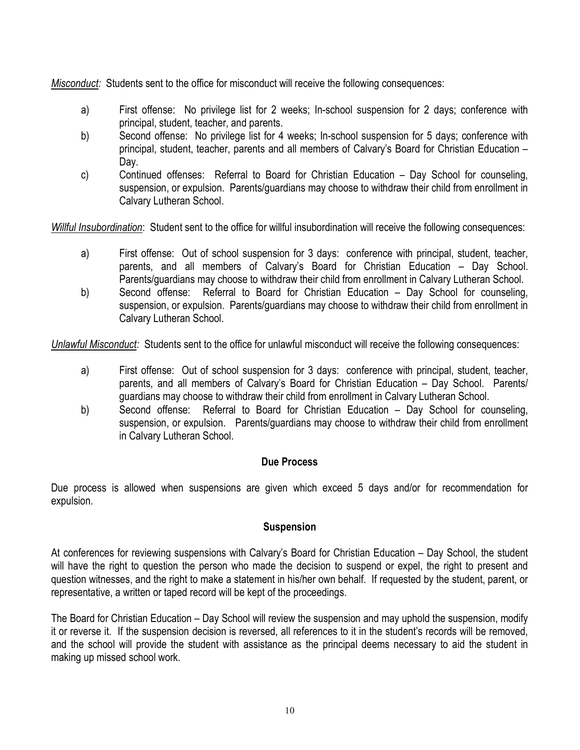Misconduct: Students sent to the office for misconduct will receive the following consequences:

- a) First offense: No privilege list for 2 weeks; In-school suspension for 2 days; conference with principal, student, teacher, and parents.
- b) Second offense: No privilege list for 4 weeks; In-school suspension for 5 days; conference with principal, student, teacher, parents and all members of Calvary's Board for Christian Education – Day.
- c) Continued offenses: Referral to Board for Christian Education Day School for counseling, suspension, or expulsion. Parents/guardians may choose to withdraw their child from enrollment in Calvary Lutheran School.

Willful Insubordination: Student sent to the office for willful insubordination will receive the following consequences:

- a) First offense: Out of school suspension for 3 days: conference with principal, student, teacher, parents, and all members of Calvary's Board for Christian Education – Day School. Parents/guardians may choose to withdraw their child from enrollment in Calvary Lutheran School.
- b) Second offense: Referral to Board for Christian Education Day School for counseling, suspension, or expulsion. Parents/guardians may choose to withdraw their child from enrollment in Calvary Lutheran School.

Unlawful Misconduct: Students sent to the office for unlawful misconduct will receive the following consequences:

- a) First offense: Out of school suspension for 3 days: conference with principal, student, teacher, parents, and all members of Calvary's Board for Christian Education – Day School. Parents/ guardians may choose to withdraw their child from enrollment in Calvary Lutheran School.
- b) Second offense: Referral to Board for Christian Education Day School for counseling, suspension, or expulsion. Parents/guardians may choose to withdraw their child from enrollment in Calvary Lutheran School.

# Due Process

Due process is allowed when suspensions are given which exceed 5 days and/or for recommendation for expulsion.

### **Suspension**

At conferences for reviewing suspensions with Calvary's Board for Christian Education – Day School, the student will have the right to question the person who made the decision to suspend or expel, the right to present and question witnesses, and the right to make a statement in his/her own behalf. If requested by the student, parent, or representative, a written or taped record will be kept of the proceedings.

The Board for Christian Education – Day School will review the suspension and may uphold the suspension, modify it or reverse it. If the suspension decision is reversed, all references to it in the student's records will be removed, and the school will provide the student with assistance as the principal deems necessary to aid the student in making up missed school work.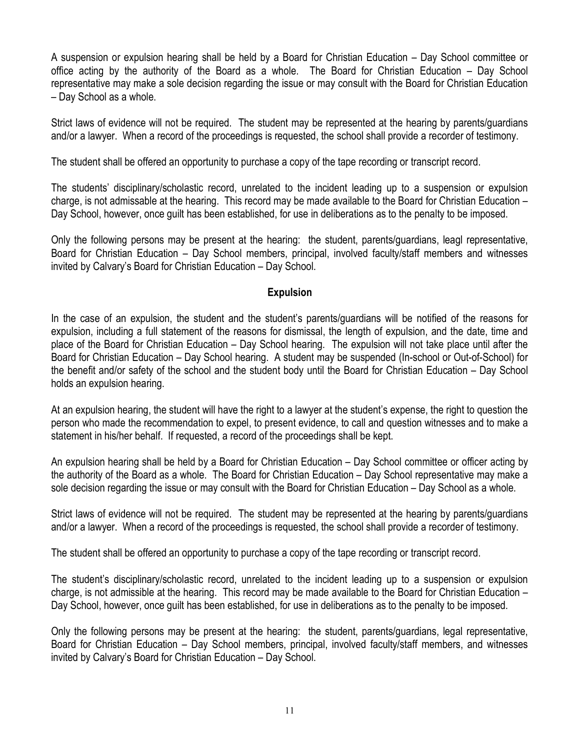A suspension or expulsion hearing shall be held by a Board for Christian Education – Day School committee or office acting by the authority of the Board as a whole. The Board for Christian Education – Day School representative may make a sole decision regarding the issue or may consult with the Board for Christian Education – Day School as a whole.

Strict laws of evidence will not be required. The student may be represented at the hearing by parents/guardians and/or a lawyer. When a record of the proceedings is requested, the school shall provide a recorder of testimony.

The student shall be offered an opportunity to purchase a copy of the tape recording or transcript record.

The students' disciplinary/scholastic record, unrelated to the incident leading up to a suspension or expulsion charge, is not admissable at the hearing. This record may be made available to the Board for Christian Education – Day School, however, once guilt has been established, for use in deliberations as to the penalty to be imposed.

Only the following persons may be present at the hearing: the student, parents/guardians, leagl representative, Board for Christian Education – Day School members, principal, involved faculty/staff members and witnesses invited by Calvary's Board for Christian Education – Day School.

# **Expulsion**

In the case of an expulsion, the student and the student's parents/guardians will be notified of the reasons for expulsion, including a full statement of the reasons for dismissal, the length of expulsion, and the date, time and place of the Board for Christian Education – Day School hearing. The expulsion will not take place until after the Board for Christian Education – Day School hearing. A student may be suspended (In-school or Out-of-School) for the benefit and/or safety of the school and the student body until the Board for Christian Education – Day School holds an expulsion hearing.

At an expulsion hearing, the student will have the right to a lawyer at the student's expense, the right to question the person who made the recommendation to expel, to present evidence, to call and question witnesses and to make a statement in his/her behalf. If requested, a record of the proceedings shall be kept.

An expulsion hearing shall be held by a Board for Christian Education – Day School committee or officer acting by the authority of the Board as a whole. The Board for Christian Education – Day School representative may make a sole decision regarding the issue or may consult with the Board for Christian Education – Day School as a whole.

Strict laws of evidence will not be required. The student may be represented at the hearing by parents/guardians and/or a lawyer. When a record of the proceedings is requested, the school shall provide a recorder of testimony.

The student shall be offered an opportunity to purchase a copy of the tape recording or transcript record.

The student's disciplinary/scholastic record, unrelated to the incident leading up to a suspension or expulsion charge, is not admissible at the hearing. This record may be made available to the Board for Christian Education – Day School, however, once guilt has been established, for use in deliberations as to the penalty to be imposed.

Only the following persons may be present at the hearing: the student, parents/guardians, legal representative, Board for Christian Education – Day School members, principal, involved faculty/staff members, and witnesses invited by Calvary's Board for Christian Education – Day School.